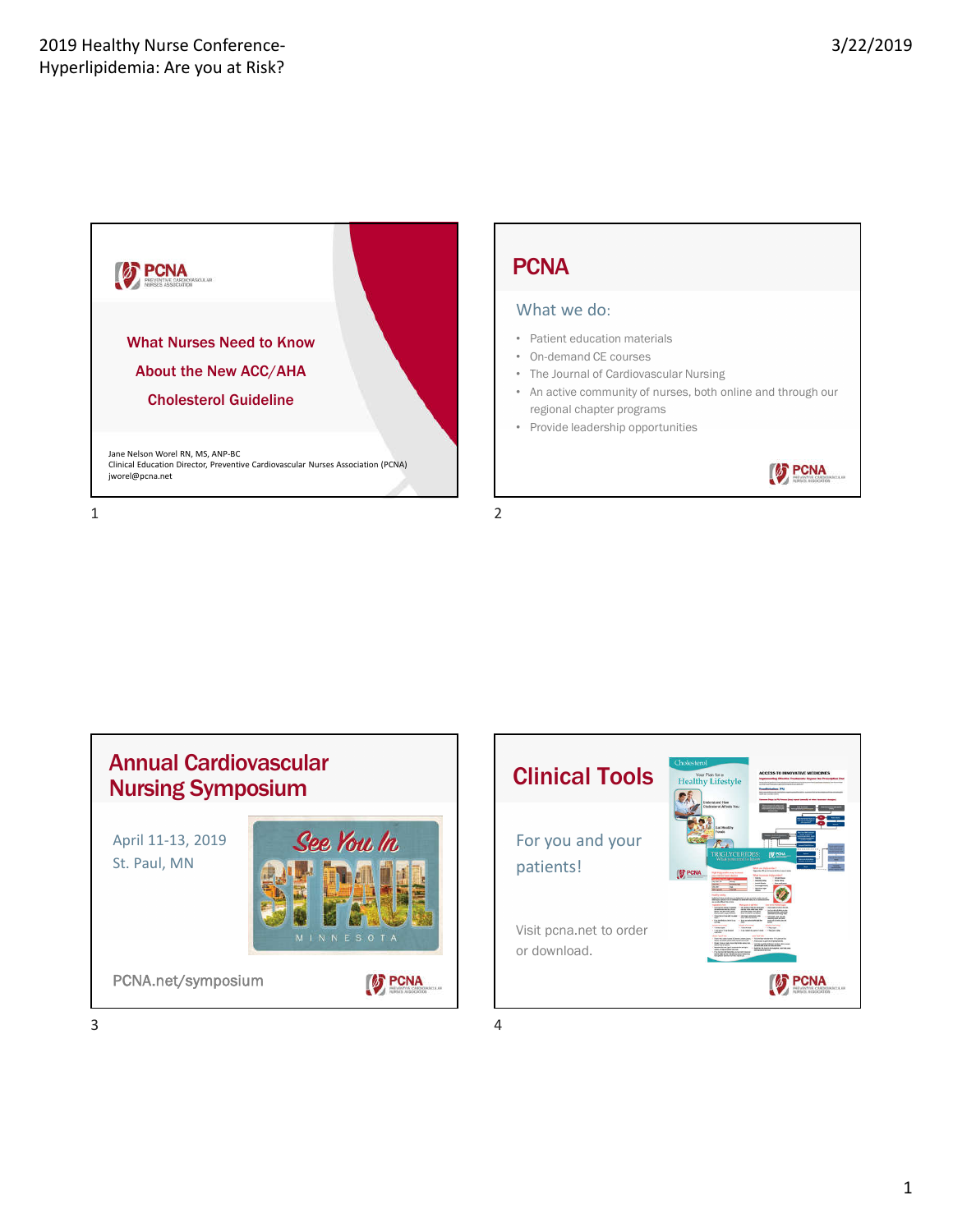

# **PCNA**

### What we do:

- Patient education materials
- On-demand CE courses
- The Journal of Cardiovascular Nursing
- An active community of nurses, both online and through our regional chapter programs
- Provide leadership opportunities







 $3 \overline{4}$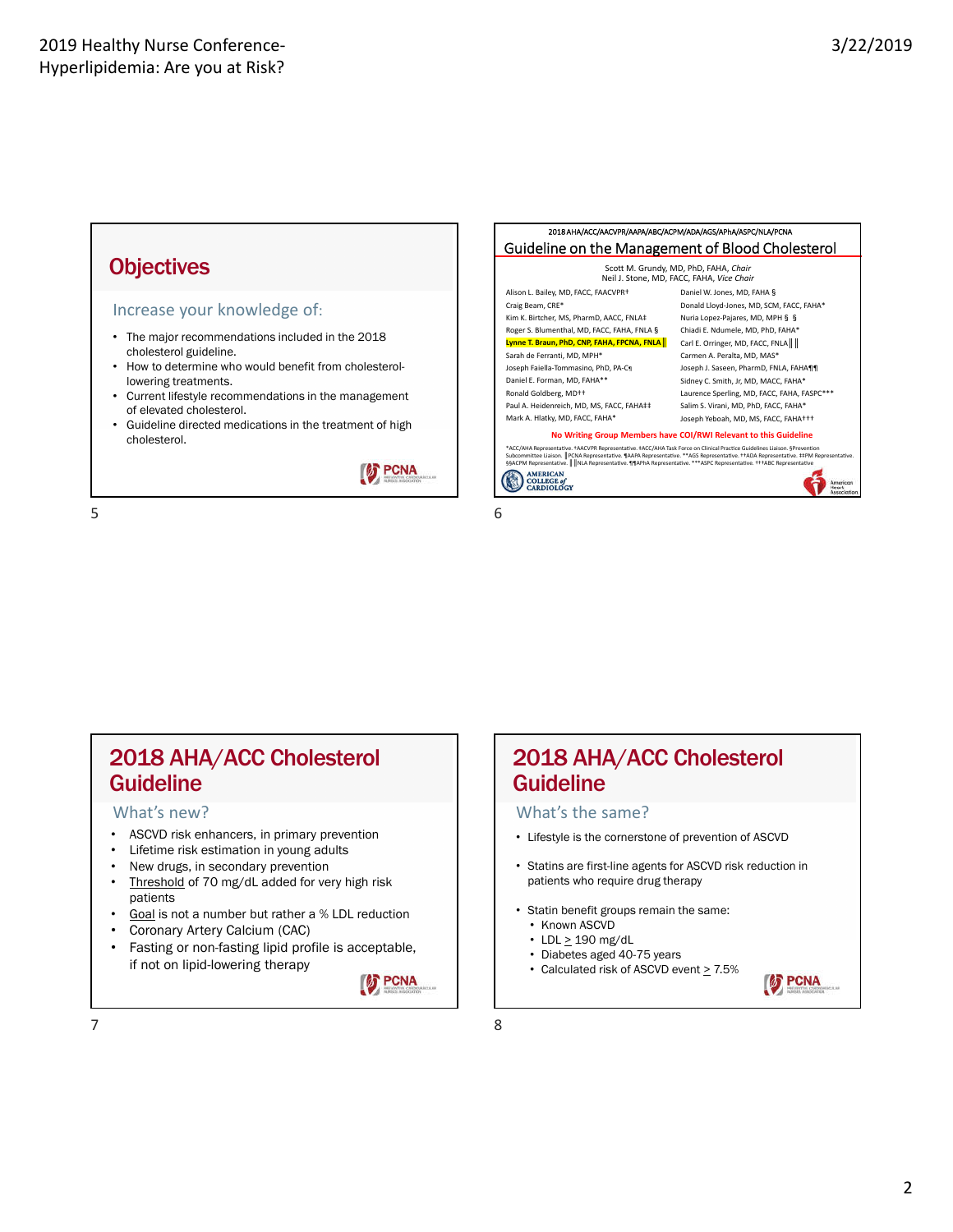### **Objectives**

#### Increase your knowledge of:

- The major recommendations included in the 2018 cholesterol guideline.
- How to determine who would benefit from cholesterollowering treatments.
- Current lifestyle recommendations in the management of elevated cholesterol.
- Guideline directed medications in the treatment of high cholesterol.





### 2018 AHA/ACC Cholesterol Guideline

#### What's new?

- ASCVD risk enhancers, in primary prevention
- Lifetime risk estimation in young adults
- New drugs, in secondary prevention
- Threshold of 70 mg/dL added for very high risk patients
- Goal is not a number but rather a % LDL reduction
- Coronary Artery Calcium (CAC)
- Fasting or non-fasting lipid profile is acceptable, if not on lipid-lowering therapy



# Guideline What's the same?

• Lifestyle is the cornerstone of prevention of ASCVD

2018 AHA/ACC Cholesterol

- Statins are first-line agents for ASCVD risk reduction in patients who require drug therapy
- Statin benefit groups remain the same:
	- Known ASCVD
	- LDL  $\geq$  190 mg/dL
	- Diabetes aged 40-75 years
- Calculated risk of ASCVD event  $\geq 7.5\%$

**FOR PCNA**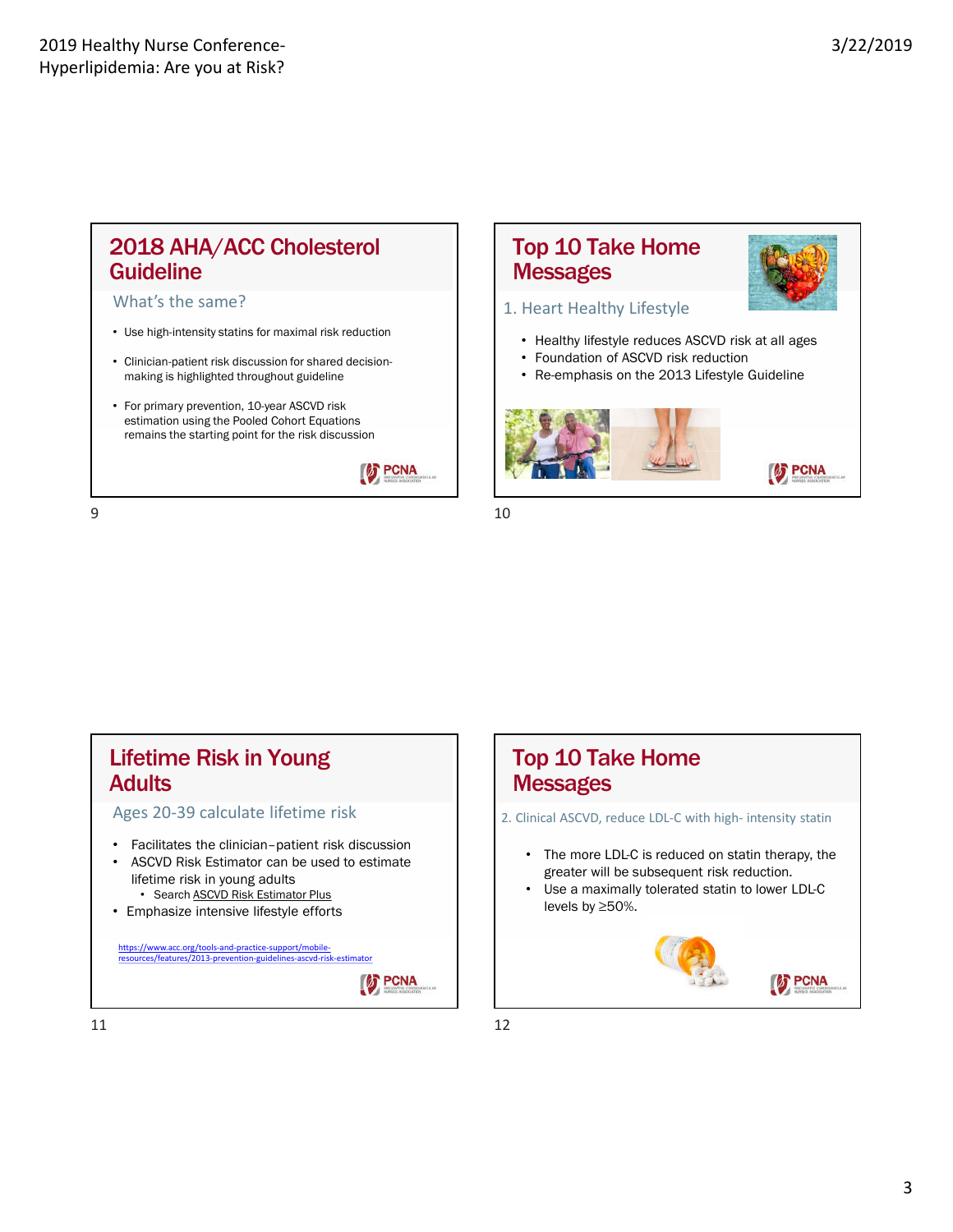# 2018 AHA/ACC Cholesterol **Guideline**

#### What's the same?

- Use high-intensity statins for maximal risk reduction
- Clinician-patient risk discussion for shared decisionmaking is highlighted throughout guideline
- For primary prevention, 10-year ASCVD risk estimation using the Pooled Cohort Equations remains the starting point for the risk discussion

**S** PCNA

### Top 10 Take Home **Messages**



### 1. Heart Healthy Lifestyle

- Healthy lifestyle reduces ASCVD risk at all ages
- Foundation of ASCVD risk reduction
- Re-emphasis on the 2013 Lifestyle Guideline



**S** PCNA

 $9 \hspace{2.5cm} 10$ 

# Lifetime Risk in Young **Adults**

Ages 20-39 calculate lifetime risk

- Facilitates the clinician–patient risk discussion
- ASCVD Risk Estimator can be used to estimate lifetime risk in young adults • Search **ASCVD Risk Estimator Plus**
- Emphasize intensive lifestyle efforts

https://www.acc.org/tools-and-practice-support/mobileresources/features/2013-prevention-guidelines-ascvd-risk-estimator





# Top 10 Take Home **Messages**

2. Clinical ASCVD, reduce LDL-C with high- intensity statin

- The more LDL-C is reduced on statin therapy, the greater will be subsequent risk reduction.
- Use a maximally tolerated statin to lower LDL-C levels by ≥50%.

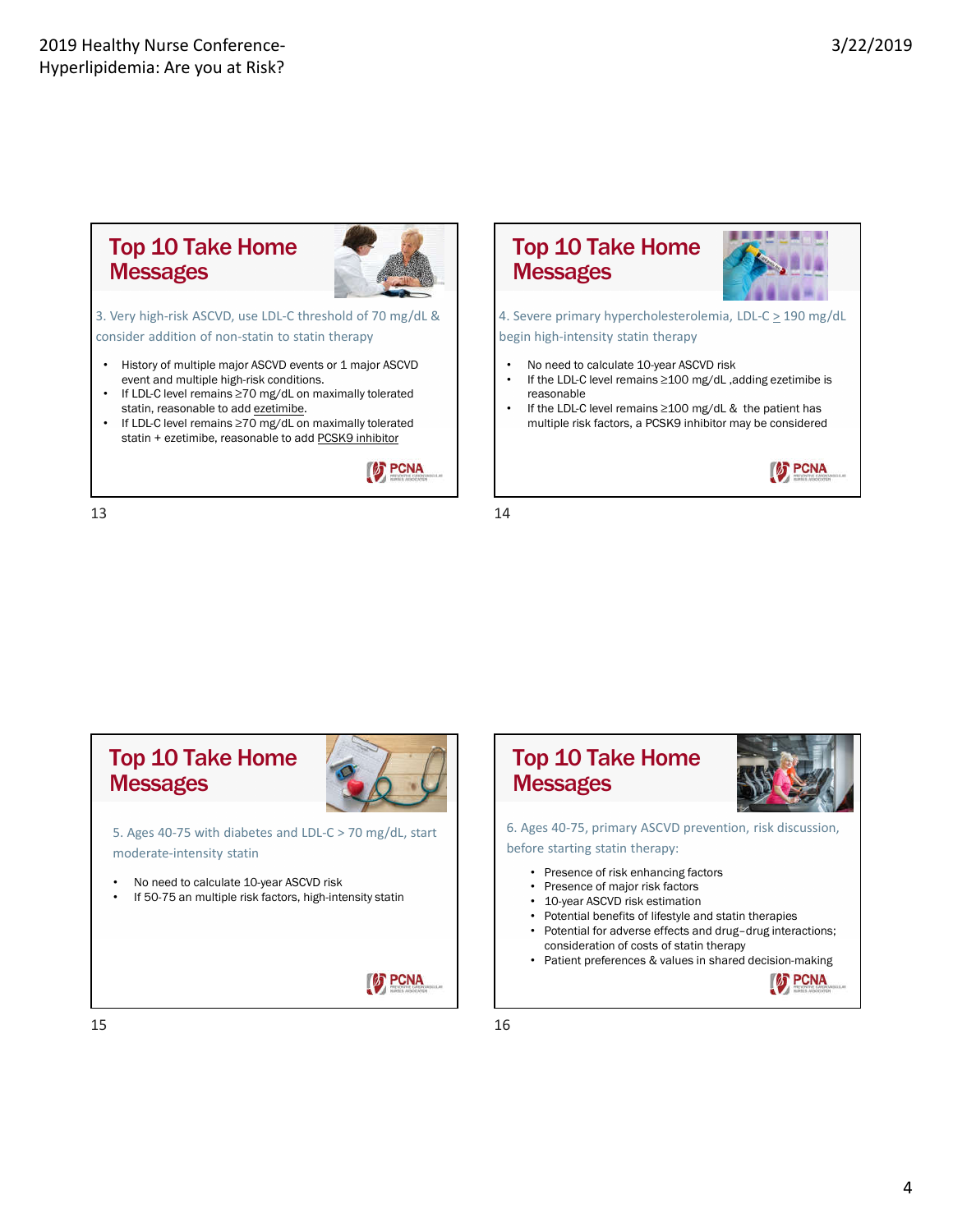### Top 10 Take Home **Messages**



3. Very high-risk ASCVD, use LDL-C threshold of 70 mg/dL & consider addition of non-statin to statin therapy

- History of multiple major ASCVD events or 1 major ASCVD event and multiple high-risk conditions.
- If LDL-C level remains ≥70 mg/dL on maximally tolerated statin, reasonable to add ezetimibe.
- If LDL-C level remains ≥70 mg/dL on maximally tolerated statin + ezetimibe, reasonable to add PCSK9 inhibitor



13 14



4. Severe primary hypercholesterolemia, LDL-C > 190 mg/dL begin high-intensity statin therapy

- No need to calculate 10-year ASCVD risk
- If the LDL-C level remains ≥100 mg/dL ,adding ezetimibe is reasonable
- If the LDL-C level remains ≥100 mg/dL & the patient has multiple risk factors, a PCSK9 inhibitor may be considered



# Top 10 Take Home **Messages**



**S** PCNA

5. Ages 40-75 with diabetes and LDL-C > 70 mg/dL, start moderate-intensity statin

- No need to calculate 10-year ASCVD risk
- If 50-75 an multiple risk factors, high-intensity statin



- 
- Presence of risk enhancing factors
- Presence of major risk factors • 10-year ASCVD risk estimation
- Potential benefits of lifestyle and statin therapies
- Potential for adverse effects and drug-drug interactions; consideration of costs of statin therapy
- Patient preferences & values in shared decision-making

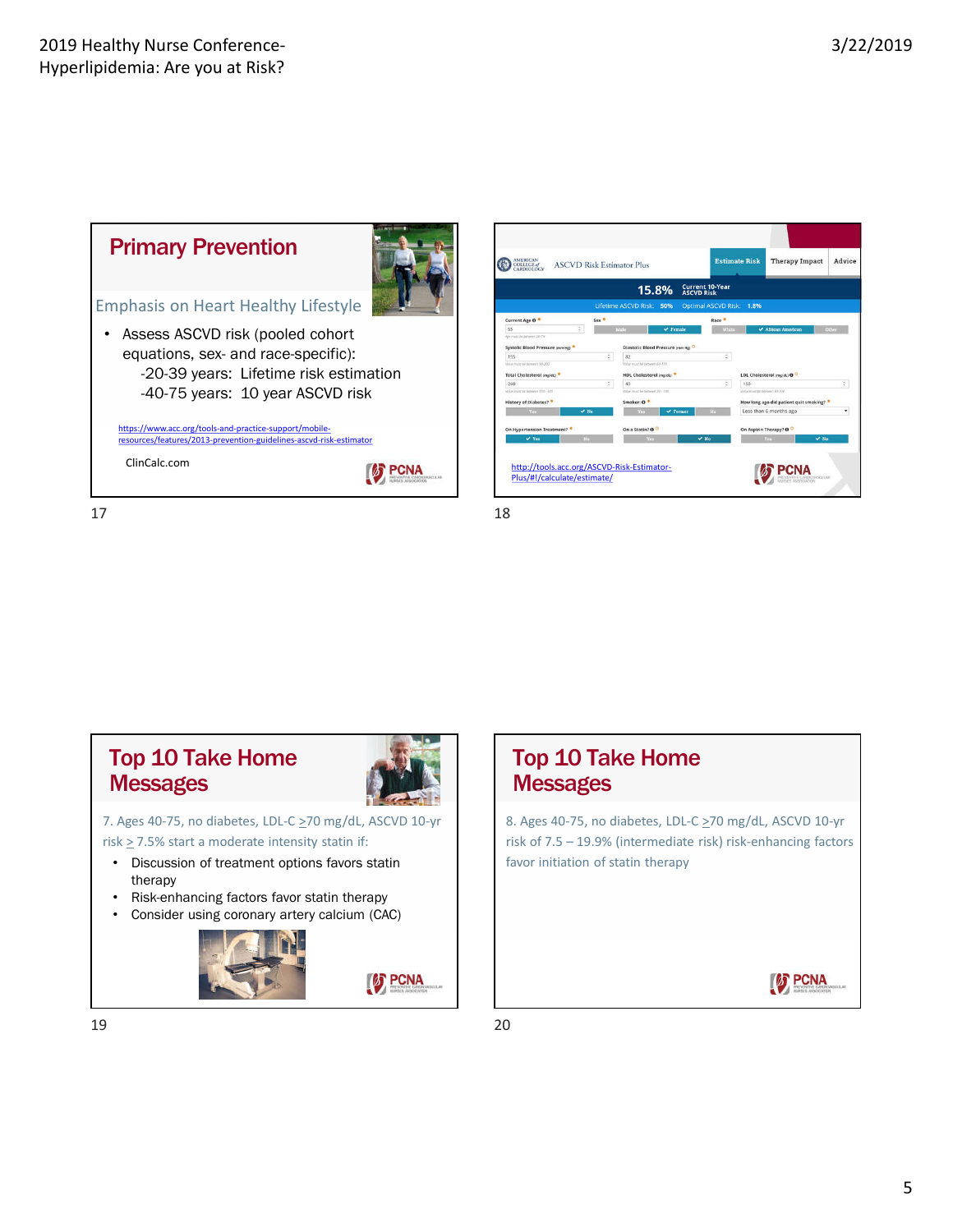

# Top 10 Take Home **Messages**



**S** PCNA

### 7. Ages 40-75, no diabetes, LDL-C  $\geq$ 70 mg/dL, ASCVD 10-yr risk > 7.5% start a moderate intensity statin if:

- Discussion of treatment options favors statin therapy
- Risk-enhancing factors favor statin therapy
- Consider using coronary artery calcium (CAC)



# Top 10 Take Home **Messages**

8. Ages 40-75, no diabetes, LDL-C  $\geq$ 70 mg/dL, ASCVD 10-yr risk of 7.5 – 19.9% (intermediate risk) risk-enhancing factors favor initiation of statin therapy



19 20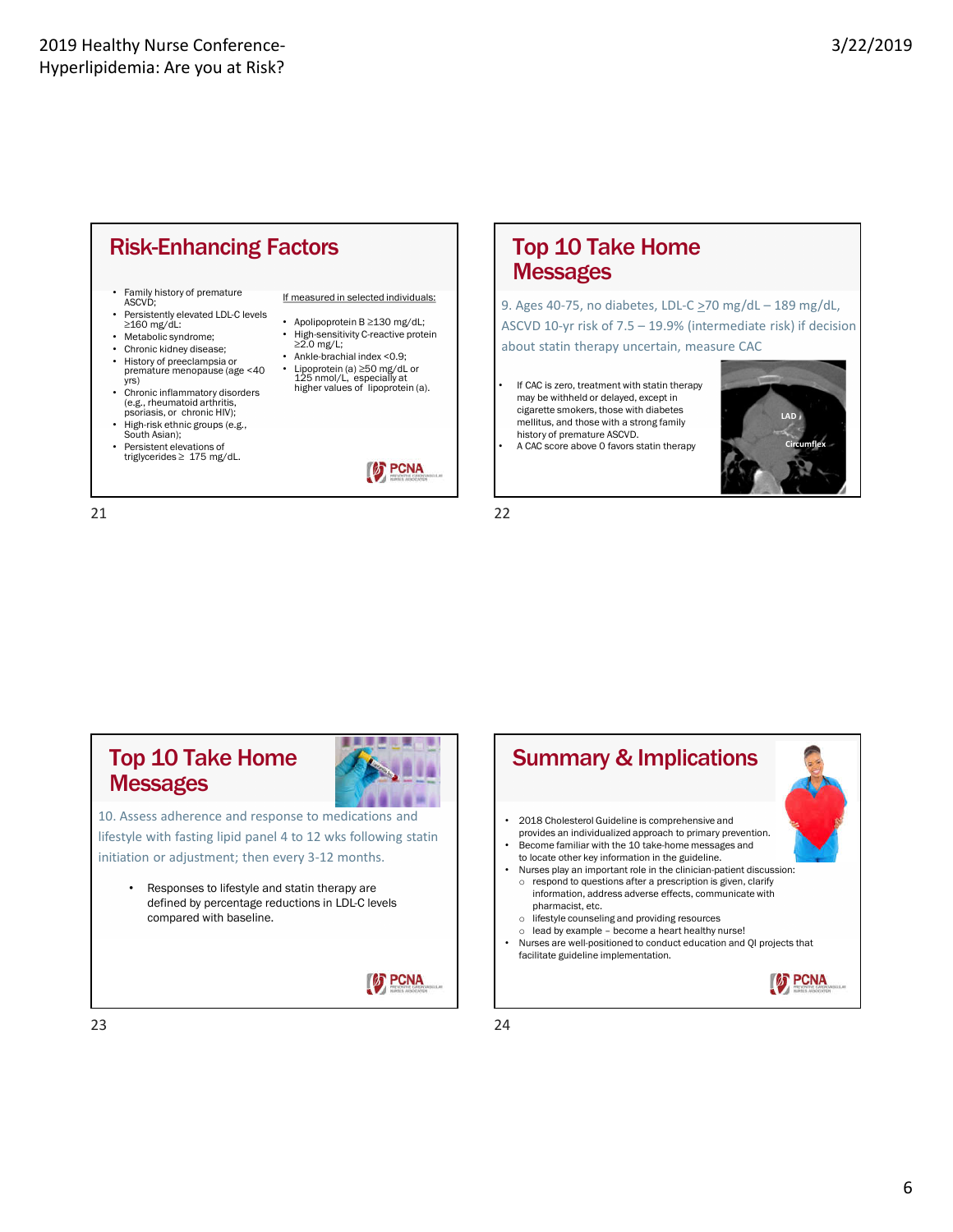

- Family history of premature ASCVD;
- Persistently elevated LDL-C levels ≥160 mg/dL:
- Metabolic syndrome;
- Chronic kidney disease;
- History of preeclampsia or premature menopause (age <40 yrs)
- Chronic inflammatory disorders (e.g., rheumatoid arthritis, psoriasis, or chronic HIV);
- High-risk ethnic groups (e.g., South Asian);
- Persistent elevations of triglycerides ≥ 175 mg/dL.

If measured in selected individuals:

- Apolipoprotein B ≥130 mg/dL;
- High-sensitivity C-reactive protein ≥2.0 mg/L;
- Ankle-brachial index <0.9;
	- Lipoprotein (a) ≥50 mg/dL or 125 nmol/L, especially at higher values of lipoprotein (a).



### Top 10 Take Home **Messages**

9. Ages 40-75, no diabetes, LDL-C  $\geq$ 70 mg/dL – 189 mg/dL, ASCVD 10-yr risk of 7.5 – 19.9% (intermediate risk) if decision about statin therapy uncertain, measure CAC

If CAC is zero, treatment with statin therapy may be withheld or delayed, except in cigarette smokers, those with diabetes mellitus, and those with a strong family history of premature ASCVD.





21 22

### Top 10 Take Home **Messages**



**FENA** 

10. Assess adherence and response to medications and lifestyle with fasting lipid panel 4 to 12 wks following statin initiation or adjustment; then every 3-12 months.

• Responses to lifestyle and statin therapy are defined by percentage reductions in LDL-C levels compared with baseline.



Summary & Implications • 2018 Cholesterol Guideline is comprehensive and provides an individualized approach to primary prevention. • Become familiar with the 10 take-home messages and to locate other key information in the guideline. • Nurses play an important role in the clinician-patient discussion: o respond to questions after a prescription is given, clarify information, address adverse effects, communicate with pharmacist, etc. o lifestyle counseling and providing resources o lead by example – become a heart healthy nurse! • Nurses are well-positioned to conduct education and QI projects that facilitate guideline implementation. **S** PCNA